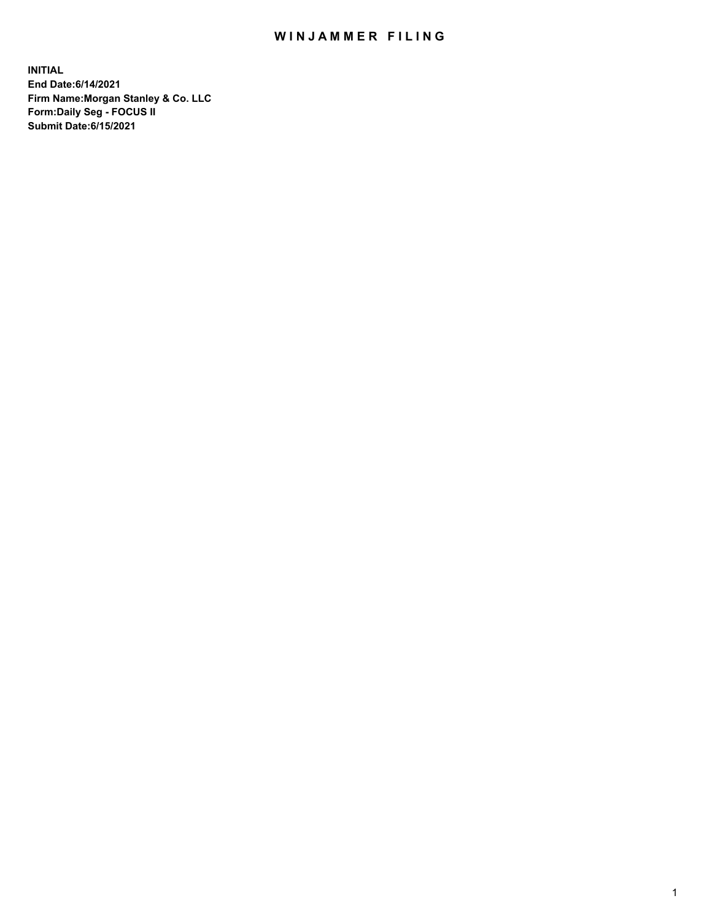## WIN JAMMER FILING

**INITIAL End Date:6/14/2021 Firm Name:Morgan Stanley & Co. LLC Form:Daily Seg - FOCUS II Submit Date:6/15/2021**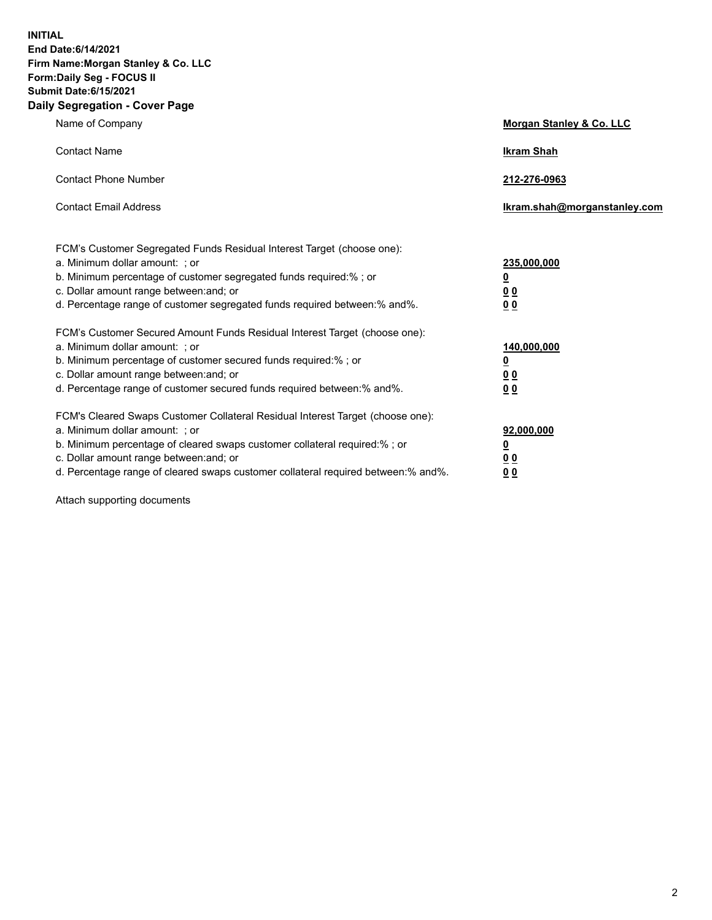**INITIAL End Date:6/14/2021 Firm Name:Morgan Stanley & Co. LLC Form:Daily Seg - FOCUS II Submit Date:6/15/2021 Daily Segregation - Cover Page**

| Name of Company                                                                                                                                                                                                                                                                                                                | <b>Morgan Stanley &amp; Co. LLC</b>                     |
|--------------------------------------------------------------------------------------------------------------------------------------------------------------------------------------------------------------------------------------------------------------------------------------------------------------------------------|---------------------------------------------------------|
| <b>Contact Name</b>                                                                                                                                                                                                                                                                                                            | <b>Ikram Shah</b>                                       |
| <b>Contact Phone Number</b>                                                                                                                                                                                                                                                                                                    | 212-276-0963                                            |
| <b>Contact Email Address</b>                                                                                                                                                                                                                                                                                                   | Ikram.shah@morganstanley.com                            |
| FCM's Customer Segregated Funds Residual Interest Target (choose one):<br>a. Minimum dollar amount: ; or<br>b. Minimum percentage of customer segregated funds required:% ; or<br>c. Dollar amount range between: and; or                                                                                                      | 235,000,000<br><u>0</u><br><u>00</u>                    |
| d. Percentage range of customer segregated funds required between:% and%.<br>FCM's Customer Secured Amount Funds Residual Interest Target (choose one):                                                                                                                                                                        | 0 <sup>0</sup>                                          |
| a. Minimum dollar amount: ; or<br>b. Minimum percentage of customer secured funds required:%; or<br>c. Dollar amount range between: and; or<br>d. Percentage range of customer secured funds required between: % and %.                                                                                                        | 140,000,000<br><u>0</u><br><u>0 0</u><br>0 <sub>0</sub> |
| FCM's Cleared Swaps Customer Collateral Residual Interest Target (choose one):<br>a. Minimum dollar amount: ; or<br>b. Minimum percentage of cleared swaps customer collateral required:% ; or<br>c. Dollar amount range between: and; or<br>d. Percentage range of cleared swaps customer collateral required between:% and%. | 92,000,000<br><u>0</u><br>0 Q<br>0 <sub>0</sub>         |

Attach supporting documents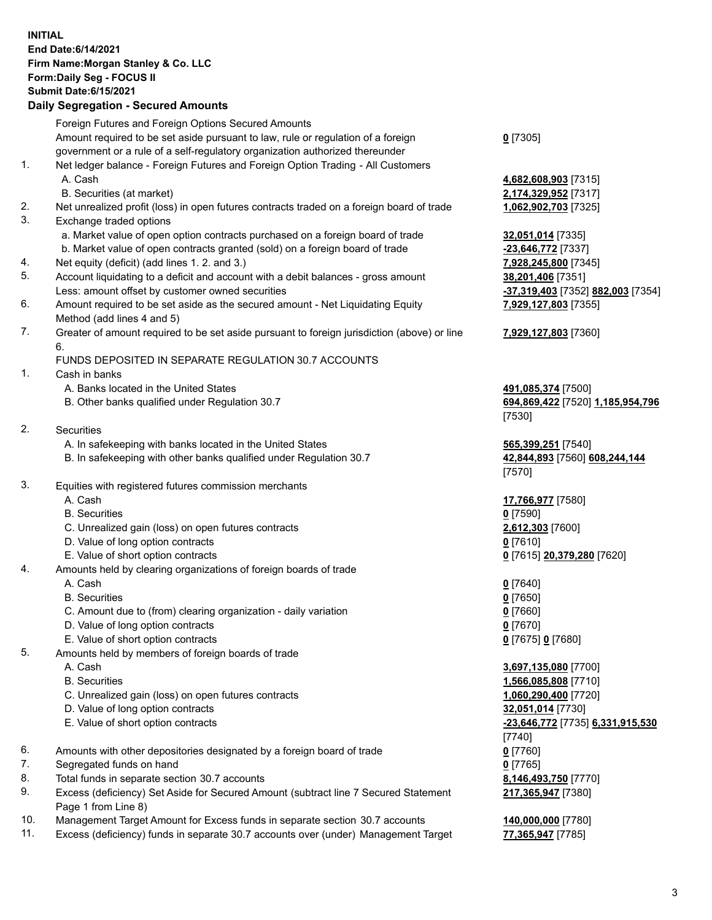## **INITIAL End Date:6/14/2021 Firm Name:Morgan Stanley & Co. LLC Form:Daily Seg - FOCUS II Submit Date:6/15/2021**

## **Daily Segregation - Secured Amounts**

|    | Foreign Futures and Foreign Options Secured Amounts                                               |                                         |
|----|---------------------------------------------------------------------------------------------------|-----------------------------------------|
|    | Amount required to be set aside pursuant to law, rule or regulation of a foreign                  | $0$ [7305]                              |
|    | government or a rule of a self-regulatory organization authorized thereunder                      |                                         |
| 1. | Net ledger balance - Foreign Futures and Foreign Option Trading - All Customers                   |                                         |
|    | A. Cash                                                                                           | 4,682,608,903 [7315]                    |
|    | B. Securities (at market)                                                                         | 2,174,329,952 [7317]                    |
| 2. | Net unrealized profit (loss) in open futures contracts traded on a foreign board of trade         | 1,062,902,703 [7325]                    |
| 3. | Exchange traded options                                                                           |                                         |
|    | a. Market value of open option contracts purchased on a foreign board of trade                    | 32,051,014 [7335]                       |
|    | b. Market value of open contracts granted (sold) on a foreign board of trade                      | -23,646,772 [7337]                      |
| 4. | Net equity (deficit) (add lines 1. 2. and 3.)                                                     | 7,928,245,800 [7345]                    |
| 5. | Account liquidating to a deficit and account with a debit balances - gross amount                 | 38,201,406 [7351]                       |
|    | Less: amount offset by customer owned securities                                                  | -37,319,403 [7352] 882,003 [7354]       |
| 6. | Amount required to be set aside as the secured amount - Net Liquidating Equity                    | 7,929,127,803 [7355]                    |
|    | Method (add lines 4 and 5)                                                                        |                                         |
| 7. | Greater of amount required to be set aside pursuant to foreign jurisdiction (above) or line<br>6. | 7,929,127,803 [7360]                    |
|    | FUNDS DEPOSITED IN SEPARATE REGULATION 30.7 ACCOUNTS                                              |                                         |
| 1. | Cash in banks                                                                                     |                                         |
|    | A. Banks located in the United States                                                             | 491,085,374 [7500]                      |
|    | B. Other banks qualified under Regulation 30.7                                                    | 694,869,422 [7520] 1,185,954,796        |
|    |                                                                                                   | [7530]                                  |
| 2. | <b>Securities</b>                                                                                 |                                         |
|    | A. In safekeeping with banks located in the United States                                         | 565,399,251 [7540]                      |
|    | B. In safekeeping with other banks qualified under Regulation 30.7                                | 42,844,893 [7560] 608,244,144<br>[7570] |
| 3. | Equities with registered futures commission merchants                                             |                                         |
|    | A. Cash                                                                                           | 17,766,977 [7580]                       |
|    | <b>B.</b> Securities                                                                              | $0$ [7590]                              |
|    | C. Unrealized gain (loss) on open futures contracts                                               | 2,612,303 [7600]                        |
|    | D. Value of long option contracts                                                                 | $0$ [7610]                              |
|    | E. Value of short option contracts                                                                | 0 [7615] 20,379,280 [7620]              |
| 4. | Amounts held by clearing organizations of foreign boards of trade                                 |                                         |
|    | A. Cash                                                                                           | $0$ [7640]                              |
|    | <b>B.</b> Securities                                                                              | $0$ [7650]                              |
|    | C. Amount due to (from) clearing organization - daily variation                                   | $0$ [7660]                              |
|    | D. Value of long option contracts                                                                 | $0$ [7670]                              |
|    | E. Value of short option contracts                                                                | 0 [7675] 0 [7680]                       |
| 5. | Amounts held by members of foreign boards of trade                                                |                                         |
|    | A. Cash                                                                                           | 3,697,135,080 [7700]                    |
|    | <b>B.</b> Securities                                                                              | 1,566,085,808 [7710]                    |
|    | C. Unrealized gain (loss) on open futures contracts                                               | 1,060,290,400 [7720]                    |
|    | D. Value of long option contracts                                                                 | 32,051,014 [7730]                       |
|    | E. Value of short option contracts                                                                | -23,646,772 [7735] 6,331,915,530        |
|    |                                                                                                   | [7740]                                  |
| 6. |                                                                                                   |                                         |
| 7. | Amounts with other depositories designated by a foreign board of trade                            | $0$ [7760]<br>$0$ [7765]                |
| 8. | Segregated funds on hand<br>Total funds in separate section 30.7 accounts                         |                                         |
| 9. | Excess (deficiency) Set Aside for Secured Amount (subtract line 7 Secured Statement               | 8,146,493,750 [7770]                    |
|    | Page 1 from Line 8)                                                                               | 217,365,947 [7380]                      |

- 10. Management Target Amount for Excess funds in separate section 30.7 accounts **140,000,000** [7780]
- 11. Excess (deficiency) funds in separate 30.7 accounts over (under) Management Target **77,365,947** [7785]

3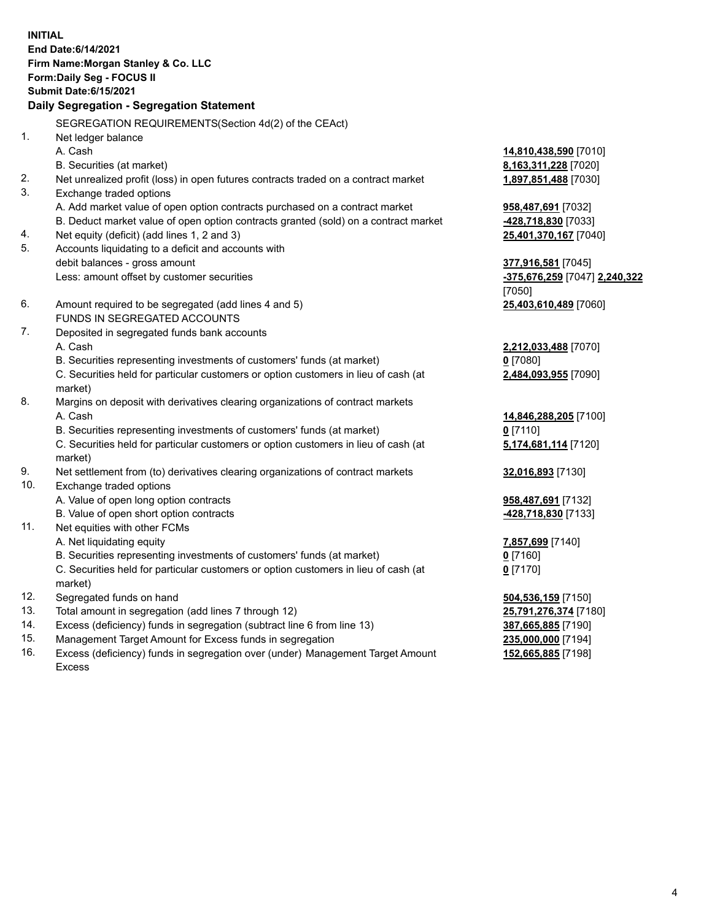**INITIAL End Date:6/14/2021 Firm Name:Morgan Stanley & Co. LLC Form:Daily Seg - FOCUS II Submit Date:6/15/2021 Daily Segregation - Segregation Statement** SEGREGATION REQUIREMENTS(Section 4d(2) of the CEAct) 1. Net ledger balance A. Cash **14,810,438,590** [7010] B. Securities (at market) **8,163,311,228** [7020] 2. Net unrealized profit (loss) in open futures contracts traded on a contract market **1,897,851,488** [7030] 3. Exchange traded options A. Add market value of open option contracts purchased on a contract market **958,487,691** [7032] B. Deduct market value of open option contracts granted (sold) on a contract market **-428,718,830** [7033] 4. Net equity (deficit) (add lines 1, 2 and 3) **25,401,370,167** [7040] 5. Accounts liquidating to a deficit and accounts with debit balances - gross amount **377,916,581** [7045] Less: amount offset by customer securities **-375,676,259** [7047] **2,240,322** [7050] 6. Amount required to be segregated (add lines 4 and 5) **25,403,610,489** [7060] FUNDS IN SEGREGATED ACCOUNTS 7. Deposited in segregated funds bank accounts A. Cash **2,212,033,488** [7070] B. Securities representing investments of customers' funds (at market) **0** [7080] C. Securities held for particular customers or option customers in lieu of cash (at market) **2,484,093,955** [7090] 8. Margins on deposit with derivatives clearing organizations of contract markets A. Cash **14,846,288,205** [7100] B. Securities representing investments of customers' funds (at market) **0** [7110] C. Securities held for particular customers or option customers in lieu of cash (at market) **5,174,681,114** [7120] 9. Net settlement from (to) derivatives clearing organizations of contract markets **32,016,893** [7130] 10. Exchange traded options A. Value of open long option contracts **958,487,691** [7132] B. Value of open short option contracts **-428,718,830** [7133] 11. Net equities with other FCMs A. Net liquidating equity **7,857,699** [7140] B. Securities representing investments of customers' funds (at market) **0** [7160] C. Securities held for particular customers or option customers in lieu of cash (at market) **0** [7170] 12. Segregated funds on hand **504,536,159** [7150] 13. Total amount in segregation (add lines 7 through 12) **25,791,276,374** [7180] 14. Excess (deficiency) funds in segregation (subtract line 6 from line 13) **387,665,885** [7190] 15. Management Target Amount for Excess funds in segregation **235,000,000** [7194]

16. Excess (deficiency) funds in segregation over (under) Management Target Amount

**152,665,885** [7198]